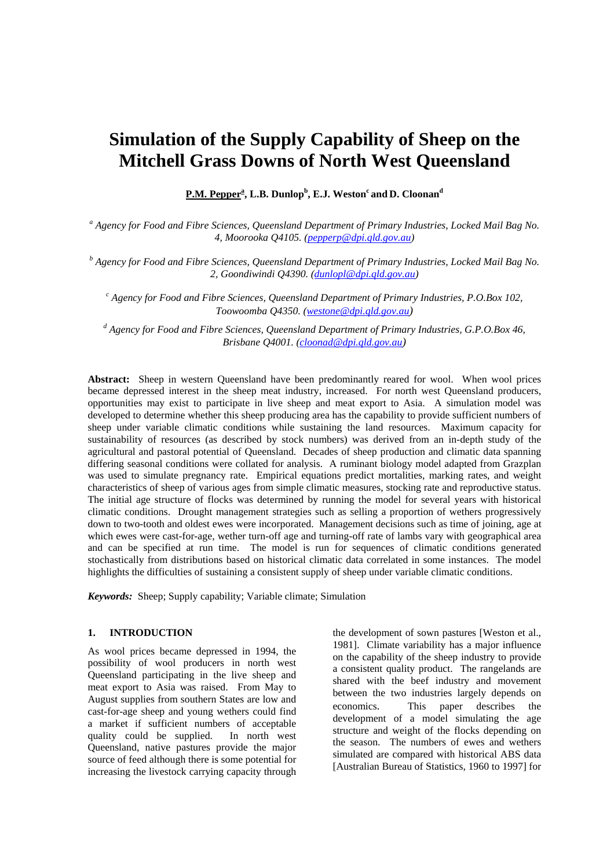# **Simulation of the Supply Capability of Sheep on the Mitchell Grass Downs of North West Queensland**

 $\textbf{P.M.}$   $\textbf{Pepper}^{\textbf{a}}$ ,  $\textbf{L.B.}$   $\textbf{Dunlop}^{\textbf{b}},$   $\textbf{E.J.}$   $\textbf{Weston}^{\textbf{c}}$  and  $\textbf{D.}$   $\textbf{Cloonan}^{\textbf{d}}$ 

*a Agency for Food and Fibre Sciences, Queensland Department of Primary Industries, Locked Mail Bag No. 4, Moorooka Q4105. (pepperp@dpi.qld.gov.au)* 

*b Agency for Food and Fibre Sciences, Queensland Department of Primary Industries, Locked Mail Bag No. 2, Goondiwindi Q4390. ([dunlopl@dpi.qld.gov.au](mailto:dunlopl@dpi.qld.gov.au))* 

*c Agency for Food and Fibre Sciences, Queensland Department of Primary Industries, P.O.Box 102, Toowoomba Q4350. [\(westone@dpi.qld.gov.au\)](mailto:westone@dpi.qld.gov.au)*

*d Agency for Food and Fibre Sciences, Queensland Department of Primary Industries, G.P.O.Box 46, Brisbane Q4001. [\(cloonad@dpi.qld.gov.au\)](mailto:westone@dpi.qld.gov.au)*

**Abstract:** Sheep in western Queensland have been predominantly reared for wool. When wool prices became depressed interest in the sheep meat industry, increased. For north west Queensland producers, opportunities may exist to participate in live sheep and meat export to Asia. A simulation model was developed to determine whether this sheep producing area has the capability to provide sufficient numbers of sheep under variable climatic conditions while sustaining the land resources. Maximum capacity for sustainability of resources (as described by stock numbers) was derived from an in-depth study of the agricultural and pastoral potential of Queensland. Decades of sheep production and climatic data spanning differing seasonal conditions were collated for analysis. A ruminant biology model adapted from Grazplan was used to simulate pregnancy rate. Empirical equations predict mortalities, marking rates, and weight characteristics of sheep of various ages from simple climatic measures, stocking rate and reproductive status. The initial age structure of flocks was determined by running the model for several years with historical climatic conditions. Drought management strategies such as selling a proportion of wethers progressively down to two-tooth and oldest ewes were incorporated. Management decisions such as time of joining, age at which ewes were cast-for-age, wether turn-off age and turning-off rate of lambs vary with geographical area and can be specified at run time. The model is run for sequences of climatic conditions generated stochastically from distributions based on historical climatic data correlated in some instances. The model highlights the difficulties of sustaining a consistent supply of sheep under variable climatic conditions.

*Keywords:* Sheep; Supply capability; Variable climate; Simulation

# **1. INTRODUCTION**

As wool prices became depressed in 1994, the possibility of wool producers in north west Queensland participating in the live sheep and meat export to Asia was raised. From May to August supplies from southern States are low and cast-for-age sheep and young wethers could find a market if sufficient numbers of acceptable quality could be supplied. In north west Queensland, native pastures provide the major source of feed although there is some potential for increasing the livestock carrying capacity through

the development of sown pastures [Weston et al., 1981]. Climate variability has a major influence on the capability of the sheep industry to provide a consistent quality product. The rangelands are shared with the beef industry and movement between the two industries largely depends on economics. This paper describes the development of a model simulating the age structure and weight of the flocks depending on the season. The numbers of ewes and wethers simulated are compared with historical ABS data [Australian Bureau of Statistics, 1960 to 1997] for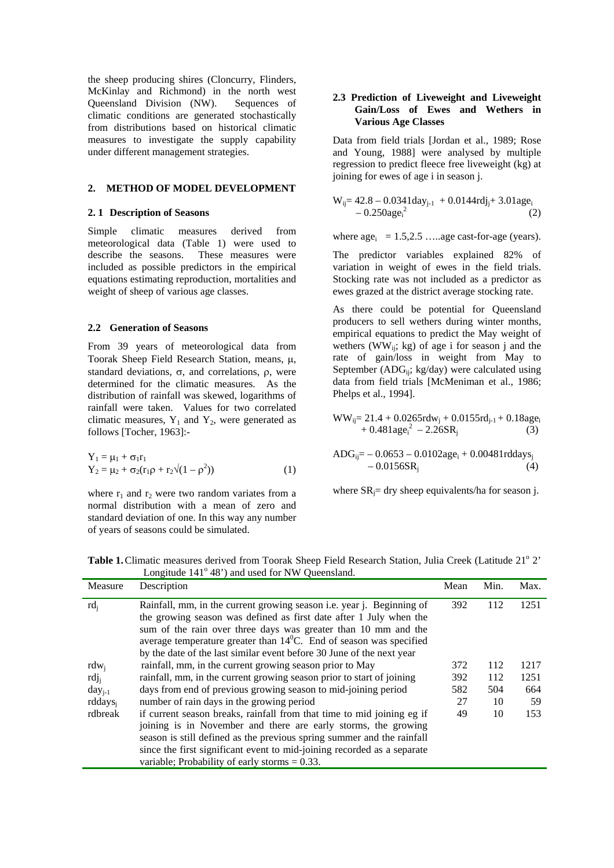the sheep producing shires (Cloncurry, Flinders, McKinlay and Richmond) in the north west Queensland Division (NW). Sequences of climatic conditions are generated stochastically from distributions based on historical climatic measures to investigate the supply capability under different management strategies.

#### **2. METHOD OF MODEL DEVELOPMENT**

#### **2. 1 Description of Seasons**

Simple climatic measures derived from meteorological data (Table 1) were used to describe the seasons. These measures were included as possible predictors in the empirical equations estimating reproduction, mortalities and weight of sheep of various age classes.

## **2.2 Generation of Seasons**

From 39 years of meteorological data from Toorak Sheep Field Research Station, means, µ, standard deviations,  $\sigma$ , and correlations,  $ρ$ , were determined for the climatic measures. As the distribution of rainfall was skewed, logarithms of rainfall were taken. Values for two correlated climatic measures,  $Y_1$  and  $Y_2$ , were generated as follows [Tocher, 1963]:-

$$
Y_1 = \mu_1 + \sigma_1 r_1 Y_2 = \mu_2 + \sigma_2 (r_1 \rho + r_2 \sqrt{(1 - \rho^2)})
$$
(1)

where  $r_1$  and  $r_2$  were two random variates from a normal distribution with a mean of zero and standard deviation of one. In this way any number of years of seasons could be simulated.

## **2.3 Prediction of Liveweight and Liveweight Gain/Loss of Ewes and Wethers in Various Age Classes**

Data from field trials [Jordan et al., 1989; Rose and Young, 1988] were analysed by multiple regression to predict fleece free liveweight (kg) at joining for ewes of age i in season j.

$$
W_{ij} = 42.8 - 0.0341 \text{day}_{j\text{-}1} + 0.0144 \text{rdj}_{j} + 3.01 \text{age}_{i} - 0.250 \text{age}_{i}^{2}
$$
 (2)

where  $\text{age}_i = 1.5, 2.5, \dots$  age cast-for-age (years).

The predictor variables explained 82% of variation in weight of ewes in the field trials. Stocking rate was not included as a predictor as ewes grazed at the district average stocking rate.

As there could be potential for Queensland producers to sell wethers during winter months, empirical equations to predict the May weight of wethers (WW<sub>ij</sub>; kg) of age i for season j and the rate of gain/loss in weight from May to September ( $ADG_{ii}$ ; kg/day) were calculated using data from field trials [McMeniman et al., 1986; Phelps et al., 1994].

$$
WW_{ij} = 21.4 + 0.0265rdw_j + 0.0155rd_{j-1} + 0.18age_i + 0.481age_i^2 - 2.26SR_j
$$
 (3)

$$
ADC_{ij} = -0.0653 - 0.0102age_i + 0.00481rd days_j - 0.0156SR_j
$$
\n(4)

where  $SR_i$ = dry sheep equivalents/ha for season j.

Table 1. Climatic measures derived from Toorak Sheep Field Research Station, Julia Creek (Latitude 21<sup>°</sup> 2' Longitude 141<sup>°</sup> 48') and used for NW Queensland.

|                     | Longitude 1+1 +0 ) and used for 19 W Queensiand.                                                                                                                                                                                                                                                                                                                                     |      |      |      |
|---------------------|--------------------------------------------------------------------------------------------------------------------------------------------------------------------------------------------------------------------------------------------------------------------------------------------------------------------------------------------------------------------------------------|------|------|------|
| Measure             | Description                                                                                                                                                                                                                                                                                                                                                                          | Mean | Min. | Max. |
| $rd_i$              | Rainfall, mm, in the current growing season <i>i.e.</i> year <i>j.</i> Beginning of<br>the growing season was defined as first date after 1 July when the<br>sum of the rain over three days was greater than 10 mm and the<br>average temperature greater than $14^{\circ}$ C. End of season was specified<br>by the date of the last similar event before 30 June of the next year | 392  | 112  | 1251 |
| $rdw_i$             | rainfall, mm, in the current growing season prior to May                                                                                                                                                                                                                                                                                                                             | 372  | 112  | 1217 |
| rdj <sub>i</sub>    | rainfall, mm, in the current growing season prior to start of joining                                                                                                                                                                                                                                                                                                                | 392  | 112  | 1251 |
| $day_{i-1}$         | days from end of previous growing season to mid-joining period                                                                                                                                                                                                                                                                                                                       | 582  | 504  | 664  |
| rddays <sub>i</sub> | number of rain days in the growing period                                                                                                                                                                                                                                                                                                                                            | 27   | 10   | 59   |
| rdbreak             | if current season breaks, rainfall from that time to mid joining eg if<br>joining is in November and there are early storms, the growing<br>season is still defined as the previous spring summer and the rainfall<br>since the first significant event to mid-joining recorded as a separate<br>variable; Probability of early storms $= 0.33$ .                                    | 49   | 10   | 153  |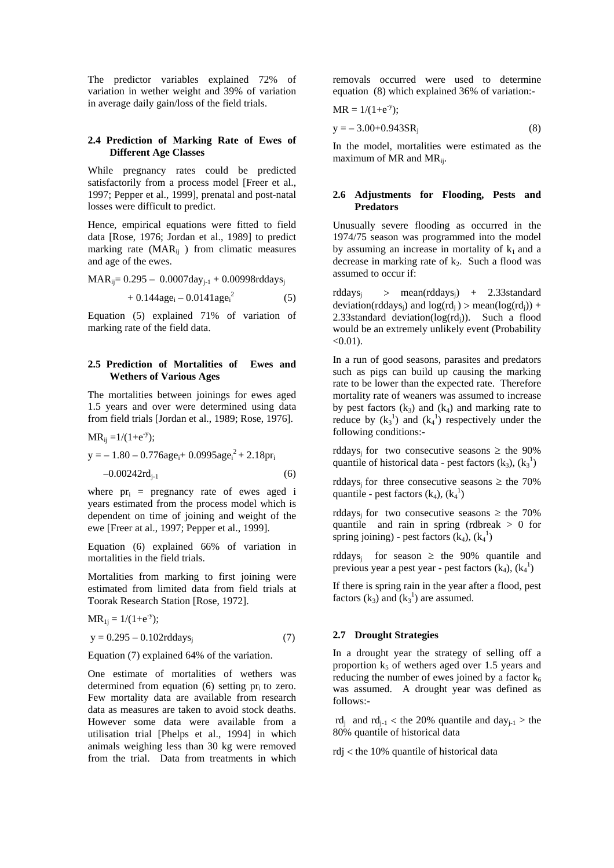The predictor variables explained 72% of variation in wether weight and 39% of variation in average daily gain/loss of the field trials.

## **2.4 Prediction of Marking Rate of Ewes of Different Age Classes**

While pregnancy rates could be predicted satisfactorily from a process model [Freer et al., 1997; Pepper et al., 1999], prenatal and post-natal losses were difficult to predict.

Hence, empirical equations were fitted to field data [Rose, 1976; Jordan et al., 1989] to predict marking rate ( $\text{MAR}_{ij}$ ) from climatic measures and age of the ewes.

$$
MAR_{ij}\!\!=0.295-\ 0.0007day_{j\text{-}1}+0.00998rddays_j
$$

$$
+ 0.144 \text{age}_i - 0.0141 \text{age}_i^2 \tag{5}
$$

Equation (5) explained 71% of variation of marking rate of the field data.

## **2.5 Prediction of Mortalities of Ewes and Wethers of Various Ages**

The mortalities between joinings for ewes aged 1.5 years and over were determined using data from field trials [Jordan et al., 1989; Rose, 1976].

$$
MR_{ij} = 1/(1 + e^{-y});
$$
  
y = -1.80 - 0.776age<sub>i</sub> + 0.0995age<sub>i</sub><sup>2</sup> + 2.18pr<sub>i</sub>  
-0.00242rd<sub>j-1</sub> (6)

where  $pr_i$  = pregnancy rate of ewes aged i years estimated from the process model which is dependent on time of joining and weight of the ewe [Freer at al., 1997; Pepper et al., 1999].

Equation (6) explained 66% of variation in mortalities in the field trials.

Mortalities from marking to first joining were estimated from limited data from field trials at Toorak Research Station [Rose, 1972].

$$
MR_{1j} = 1/(1 + e^{-y});
$$
  
y = 0.295 - 0.102rddays<sub>j</sub> (7)

Equation (7) explained 64% of the variation.

One estimate of mortalities of wethers was determined from equation  $(6)$  setting pr<sub>i</sub> to zero. Few mortality data are available from research data as measures are taken to avoid stock deaths. However some data were available from a utilisation trial [Phelps et al., 1994] in which animals weighing less than 30 kg were removed from the trial. Data from treatments in which

removals occurred were used to determine equation (8) which explained 36% of variation:-

$$
MR = 1/(1 + e^{-y});
$$

$$
y = -3.00 + 0.943 SRj
$$
 (8)

In the model, mortalities were estimated as the maximum of MR and  $MR_{ii}$ .

## **2.6 Adjustments for Flooding, Pests and Predators**

Unusually severe flooding as occurred in the 1974/75 season was programmed into the model by assuming an increase in mortality of  $k_1$  and a decrease in marking rate of  $k_2$ . Such a flood was assumed to occur if:

rddaysj > mean(rddaysj) + 2.33standard deviation(rddays<sub>i</sub>) and  $log (rd<sub>i</sub>) > mean(log (rd<sub>i</sub>)) +$ 2.33standard deviation( $log(\text{rd}_i)$ ). Such a flood would be an extremely unlikely event (Probability  $< 0.01$ ).

In a run of good seasons, parasites and predators such as pigs can build up causing the marking rate to be lower than the expected rate. Therefore mortality rate of weaners was assumed to increase by pest factors  $(k_3)$  and  $(k_4)$  and marking rate to reduce by  $(k_3^1)$  and  $(k_4^1)$  respectively under the following conditions:-

rddays<sub>i</sub> for two consecutive seasons  $\geq$  the 90% quantile of historical data - pest factors  $(k_3)$ ,  $(k_3^1)$ 

rddays<sub>i</sub> for three consecutive seasons  $\geq$  the 70% quantile - pest factors  $(k_4)$ ,  $(k_4^1)$ 

rddays<sub>i</sub> for two consecutive seasons  $\geq$  the 70% quantile and rain in spring (rdbreak > 0 for spring joining) - pest factors  $(k_4)$ ,  $(k_4^1)$ 

rddays<sub>i</sub> for season  $\geq$  the 90% quantile and previous year a pest year - pest factors  $(k_4)$ ,  $(k_4^1)$ 

If there is spring rain in the year after a flood, pest factors  $(k_3)$  and  $(k_3^1)$  are assumed.

### **2.7 Drought Strategies**

In a drought year the strategy of selling off a proportion  $k_5$  of wethers aged over 1.5 years and reducing the number of ewes joined by a factor  $k_6$ was assumed. A drought year was defined as follows:-

rd<sub>i</sub> and rd<sub>i-1</sub> < the 20% quantile and day<sub>i-1</sub> > the 80% quantile of historical data

rdj < the 10% quantile of historical data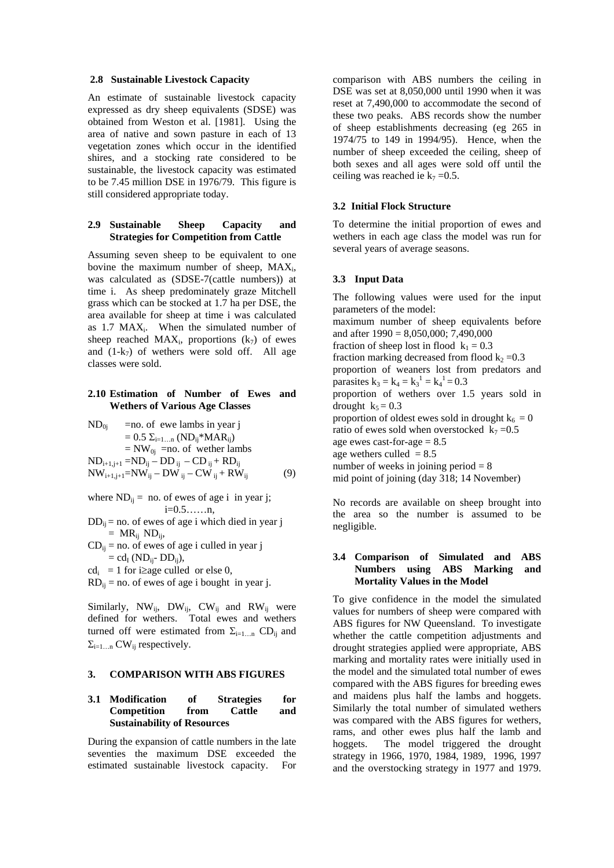#### **2.8 Sustainable Livestock Capacity**

An estimate of sustainable livestock capacity expressed as dry sheep equivalents (SDSE) was obtained from Weston et al. [1981]. Using the area of native and sown pasture in each of 13 vegetation zones which occur in the identified shires, and a stocking rate considered to be sustainable, the livestock capacity was estimated to be 7.45 million DSE in 1976/79. This figure is still considered appropriate today.

## **2.9 Sustainable Sheep Capacity and Strategies for Competition from Cattle**

Assuming seven sheep to be equivalent to one bovine the maximum number of sheep, MAXi, was calculated as (SDSE-7(cattle numbers)) at time i. As sheep predominately graze Mitchell grass which can be stocked at 1.7 ha per DSE, the area available for sheep at time i was calculated as 1.7 MAXi. When the simulated number of sheep reached  $MAX_i$ , proportions  $(k_7)$  of ewes and  $(1-k_7)$  of wethers were sold off. All age classes were sold.

# **2.10 Estimation of Number of Ewes and Wethers of Various Age Classes**

$$
ND_{0j} = no. of ewe lambs in year j
$$
  
= 0.5  $\Sigma_{i=1...n}$  (ND<sub>ij</sub><sup>\*</sup>MAR<sub>ij</sub>)  
= NW<sub>0j</sub> =no. of wether lambs  
ND<sub>i+1,j+1</sub> = ND<sub>ij</sub> - DD<sub>ij</sub> - CD<sub>ij</sub> + RD<sub>ij</sub>  
NW<sub>i+1,j+1</sub>=NW<sub>ij</sub> - DW<sub>ij</sub> - CW<sub>ij</sub> + RW<sub>ij</sub> (9)

where  $ND_{ij}$  = no. of ewes of age i in year j; i=0.5……n,

 $DD_{ii}$  = no. of ewes of age i which died in year j  $= MR_{ij} ND_{ij}$ ,

- $CD_{ii}$  = no. of ewes of age i culled in year j  $= cd<sub>I</sub> (ND<sub>ij</sub>- DD<sub>ij</sub>),$
- $cd_i = 1$  for i≥age culled or else 0,
- $RD_{ii}$  = no. of ewes of age i bought in year j.

Similarly,  $NW_{ij}$ ,  $DW_{ij}$ ,  $CW_{ij}$  and  $RW_{ij}$  were defined for wethers. Total ewes and wethers turned off were estimated from  $\Sigma_{i=1...n}$  CD<sub>ij</sub> and  $\Sigma_{i=1...n}$  CW<sub>ij</sub> respectively.

## **3. COMPARISON WITH ABS FIGURES**

## **3.1 Modification of Strategies for Competition from Cattle and Sustainability of Resources**

During the expansion of cattle numbers in the late seventies the maximum DSE exceeded the estimated sustainable livestock capacity. For

comparison with ABS numbers the ceiling in DSE was set at 8,050,000 until 1990 when it was reset at 7,490,000 to accommodate the second of these two peaks. ABS records show the number of sheep establishments decreasing (eg 265 in 1974/75 to 149 in 1994/95). Hence, when the number of sheep exceeded the ceiling, sheep of both sexes and all ages were sold off until the ceiling was reached ie  $k_7 = 0.5$ .

## **3.2 Initial Flock Structure**

To determine the initial proportion of ewes and wethers in each age class the model was run for several years of average seasons.

## **3.3 Input Data**

The following values were used for the input parameters of the model: maximum number of sheep equivalents before and after 1990 = 8,050,000; 7,490,000 fraction of sheep lost in flood  $k_1 = 0.3$ fraction marking decreased from flood  $k_2 = 0.3$ proportion of weaners lost from predators and parasites  $k_3 = k_4 = k_3^1 = k_4^1 = 0.3$ proportion of wethers over 1.5 years sold in drought  $k_5 = 0.3$ proportion of oldest ewes sold in drought  $k_6 = 0$ ratio of ewes sold when overstocked  $k_7 = 0.5$ age ewes cast-for-age  $= 8.5$ age wethers culled  $= 8.5$ number of weeks in joining period  $= 8$ mid point of joining (day 318; 14 November)

No records are available on sheep brought into the area so the number is assumed to be negligible.

## **3.4 Comparison of Simulated and ABS Numbers using ABS Marking and Mortality Values in the Model**

To give confidence in the model the simulated values for numbers of sheep were compared with ABS figures for NW Queensland. To investigate whether the cattle competition adjustments and drought strategies applied were appropriate, ABS marking and mortality rates were initially used in the model and the simulated total number of ewes compared with the ABS figures for breeding ewes and maidens plus half the lambs and hoggets. Similarly the total number of simulated wethers was compared with the ABS figures for wethers, rams, and other ewes plus half the lamb and hoggets. The model triggered the drought strategy in 1966, 1970, 1984, 1989, 1996, 1997 and the overstocking strategy in 1977 and 1979.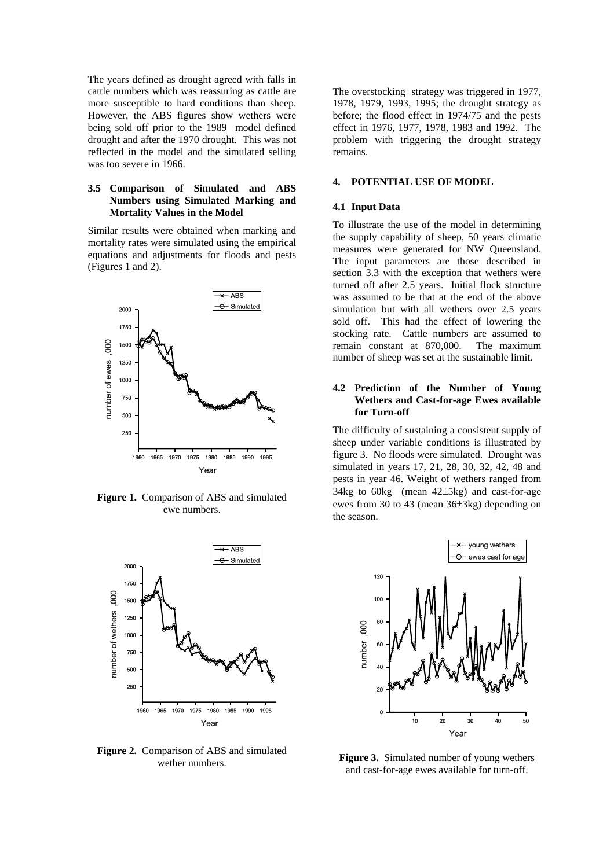The years defined as drought agreed with falls in cattle numbers which was reassuring as cattle are more susceptible to hard conditions than sheep. However, the ABS figures show wethers were being sold off prior to the 1989 model defined drought and after the 1970 drought. This was not reflected in the model and the simulated selling was too severe in 1966.

# **3.5 Comparison of Simulated and ABS Numbers using Simulated Marking and Mortality Values in the Model**

Similar results were obtained when marking and mortality rates were simulated using the empirical equations and adjustments for floods and pests (Figures 1 and 2).



**Figure 1.** Comparison of ABS and simulated ewe numbers.



**Figure 2.** Comparison of ABS and simulated wether numbers.

The overstocking strategy was triggered in 1977, 1978, 1979, 1993, 1995; the drought strategy as before; the flood effect in 1974/75 and the pests effect in 1976, 1977, 1978, 1983 and 1992. The problem with triggering the drought strategy remains.

#### **4. POTENTIAL USE OF MODEL**

### **4.1 Input Data**

To illustrate the use of the model in determining the supply capability of sheep, 50 years climatic measures were generated for NW Queensland. The input parameters are those described in section 3.3 with the exception that wethers were turned off after 2.5 years. Initial flock structure was assumed to be that at the end of the above simulation but with all wethers over 2.5 years sold off. This had the effect of lowering the stocking rate. Cattle numbers are assumed to remain constant at 870,000. The maximum number of sheep was set at the sustainable limit.

## **4.2 Prediction of the Number of Young Wethers and Cast-for-age Ewes available for Turn-off**

The difficulty of sustaining a consistent supply of sheep under variable conditions is illustrated by figure 3. No floods were simulated. Drought was simulated in years 17, 21, 28, 30, 32, 42, 48 and pests in year 46. Weight of wethers ranged from 34kg to 60kg (mean 42±5kg) and cast-for-age ewes from 30 to 43 (mean 36±3kg) depending on the season.



**Figure 3.** Simulated number of young wethers and cast-for-age ewes available for turn-off.